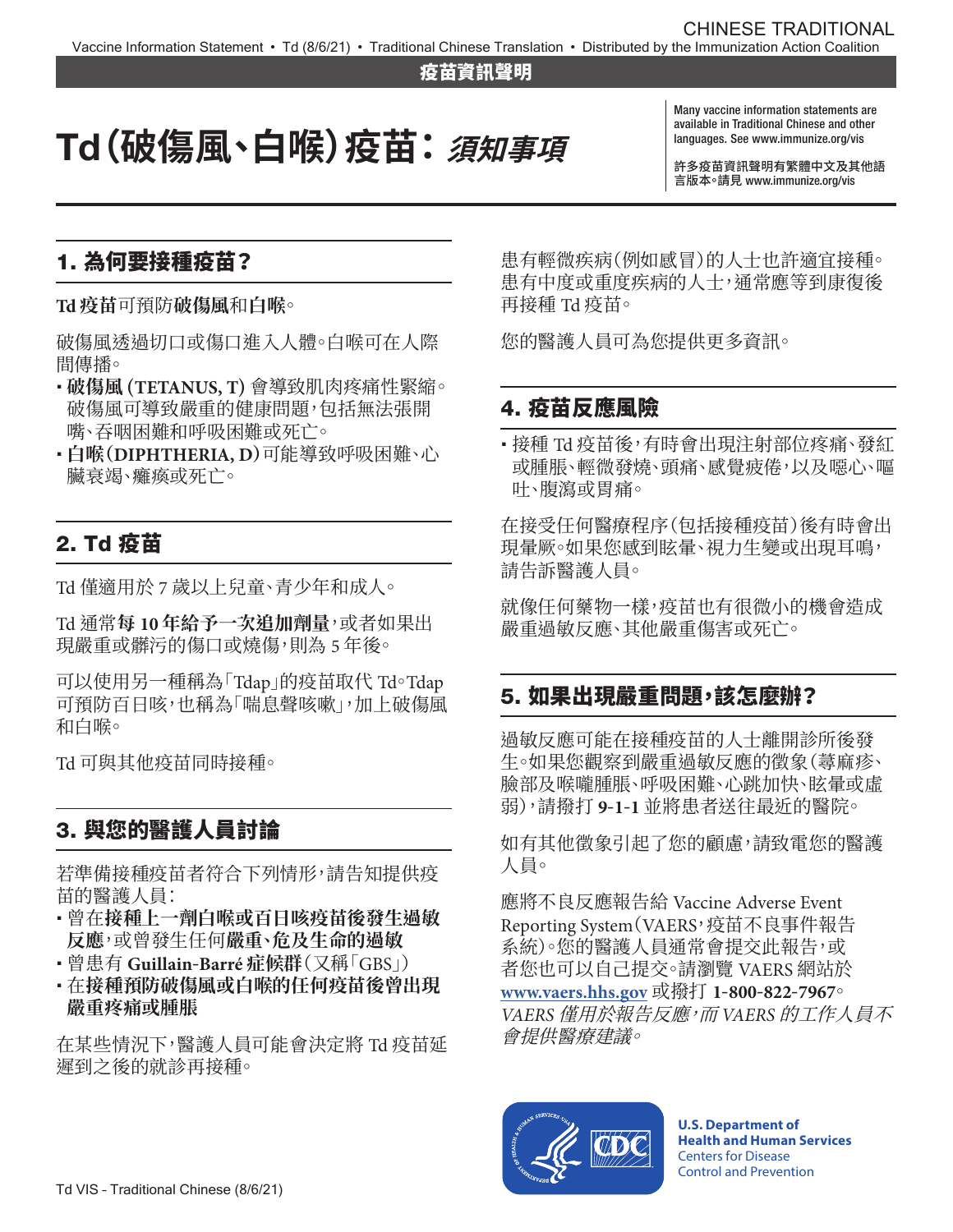#### 疫苗資訊聲明

# Td**(破傷風、白喉)疫苗: 須知事項**

Many vaccine information statements are available in Traditional Chinese and other languages. See [www.immunize.org/vis](http://www.immunize.org/vis)

許多疫苗資訊聲明有繁體中文及其他語 言版本。請見 [www.immunize.org/vis](http://www.immunize.org/vis) 

## 1. 為何要接種疫苗?

**Td 疫苗**可預防**破傷風**和**白喉**。

破傷風透過切口或傷口進入人體。白喉可在人際 間傳播。

- � **破傷風 (TETANUS, T)** 會導致肌肉疼痛性緊縮。 破傷風可導致嚴重的健康問題,包括無法張開 嘴、吞咽困難和呼吸困難或死亡。
- � **白喉(DIPHTHERIA, D)**可能導致呼吸困難、心 臟衰竭、癱瘓或死亡。

## 2. Td 疫苗

Td 僅適用於 7 歲以上兒童、青少年和成人。

Td 通常**每 10 年給予一次追加劑量**,或者如果出 現嚴重或髒污的傷口或燒傷,則為 5 年後。

可以使用另一種稱為「Tdap」的疫苗取代 Td。Tdap 可預防百日咳,也稱為「喘息聲咳嗽」,加上破傷風 和白喉。

Td 可與其他疫苗同時接種。

# 3. 與您的醫護人員討論

若準備接種疫苗者符合下列情形,請告知提供疫 苗的醫護人員:

- · 曾在接種上一劑白喉或百日咳疫苗後發生過敏 **反應**,或曾發生任何**嚴重、危及生命的過敏**
- � 曾患有 **Guillain-Barré 症候群**(又稱「GBS」)
- · 在接種預防破傷風或白喉的任何疫苗後曾出現 **嚴重疼痛或腫脹**

在某些情況下,醫護人員可能會決定將 Td 疫苗延 遲到之後的就診再接種。

患有輕微疾病(例如感冒)的人士也許適宜接種。 患有中度或重度疾病的人士,通常應等到康復後 再接種 Td 疫苗。

您的醫護人員可為您提供更多資訊。

## 4. 疫苗反應風險

• 接種 Td 疫苗後,有時會出現注射部位疼痛、發紅 或腫脹、輕微發燒、頭痛、感覺疲倦,以及噁心、嘔 吐、腹瀉或胃痛。

在接受任何醫療程序(包括接種疫苗)後有時會出 現暈厥。如果您感到眩暈、視力生變或出現耳鳴, 請告訴醫護人員。

就像任何藥物一樣,疫苗也有很微小的機會造成 嚴重過敏反應、其他嚴重傷害或死亡。

#### 5. 如果出現嚴重問題,該怎麼辦?

過敏反應可能在接種疫苗的人士離開診所後發 生。如果您觀察到嚴重過敏反應的徵象(蕁麻疹、 臉部及喉嚨腫脹、呼吸困難、心跳加快、眩暈或虚 弱),請撥打 **9-1-1** 並將患者送往最近的醫院。

如有其他徵象引起了您的顧慮,請致電您的醫護 人員。

應將不良反應報告給 Vaccine Adverse Event Reporting System(VAERS,疫苗不良事件報告 系統)。您的醫護人員通常會提交此報告,或 者您也可以自己提交。請瀏覽 VAERS 網站於 **[www.vaers.hhs.gov](www.vaers.hhs.gov或撥打)** 或撥打 **1-800-822-7967**。 *VAERS* 僅用於報告反應,而 *VAERS* 的工作人員不 會提供醫療建議。



**U.S. Department of Health and Human Services**  Centers for Disease Control and Prevention